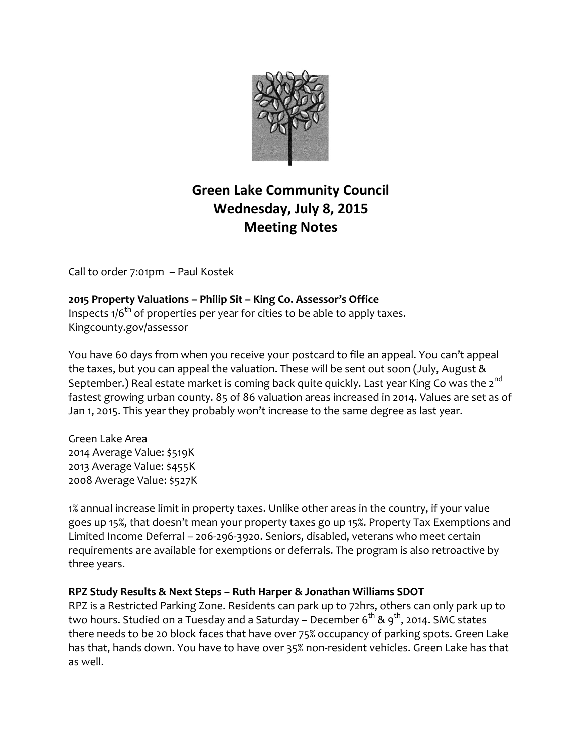

# **Green Lake Community Council Wednesday, July 8, 2015 Meeting Notes**

Call to order 7:01pm – Paul Kostek

**2015 Property Valuations – Philip Sit – King Co. Assessor's Office** Inspects  $1/6^{th}$  of properties per year for cities to be able to apply taxes. Kingcounty.gov/assessor

You have 60 days from when you receive your postcard to file an appeal. You can't appeal the taxes, but you can appeal the valuation. These will be sent out soon (July, August & September.) Real estate market is coming back quite quickly. Last year King Co was the 2<sup>nd</sup> fastest growing urban county. 85 of 86 valuation areas increased in 2014. Values are set as of Jan 1, 2015. This year they probably won't increase to the same degree as last year.

Green Lake Area 2014 Average Value: \$519K 2013 Average Value: \$455K 2008 Average Value: \$527K

1% annual increase limit in property taxes. Unlike other areas in the country, if your value goes up 15%, that doesn't mean your property taxes go up 15%. Property Tax Exemptions and Limited Income Deferral – 206-296-3920. Seniors, disabled, veterans who meet certain requirements are available for exemptions or deferrals. The program is also retroactive by three years.

### **RPZ Study Results & Next Steps – Ruth Harper & Jonathan Williams SDOT**

RPZ is a Restricted Parking Zone. Residents can park up to 72hrs, others can only park up to two hours. Studied on a Tuesday and a Saturday – December  $6^{th}$  &  $9^{th}$ , 2014. SMC states there needs to be 20 block faces that have over 75% occupancy of parking spots. Green Lake has that, hands down. You have to have over 35% non-resident vehicles. Green Lake has that as well.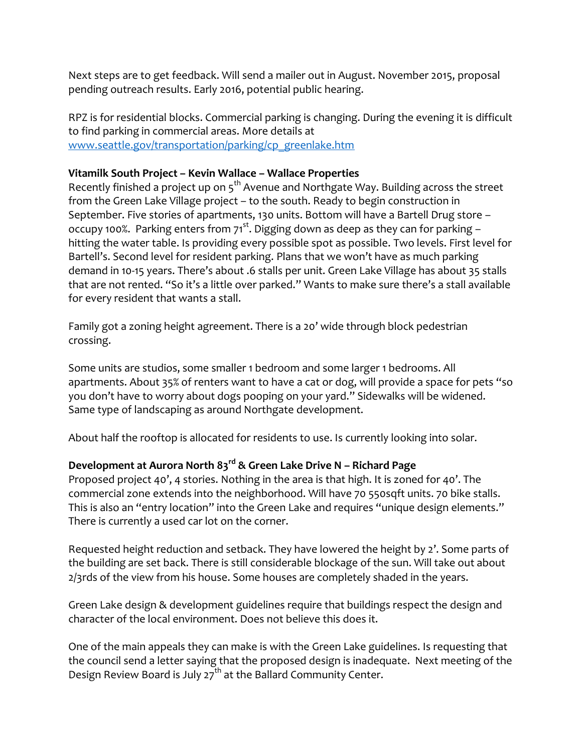Next steps are to get feedback. Will send a mailer out in August. November 2015, proposal pending outreach results. Early 2016, potential public hearing.

RPZ is for residential blocks. Commercial parking is changing. During the evening it is difficult to find parking in commercial areas. More details at [www.seattle.gov/transportation/parking/cp\\_greenlake.htm](http://www.seattle.gov/transportation/parking/cp_greenlake.htm)

#### **Vitamilk South Project – Kevin Wallace – Wallace Properties**

Recently finished a project up on  $5<sup>th</sup>$  Avenue and Northgate Way. Building across the street from the Green Lake Village project – to the south. Ready to begin construction in September. Five stories of apartments, 130 units. Bottom will have a Bartell Drug store – occupy 100%. Parking enters from  $71^{st}$ . Digging down as deep as they can for parking – hitting the water table. Is providing every possible spot as possible. Two levels. First level for Bartell's. Second level for resident parking. Plans that we won't have as much parking demand in 10-15 years. There's about .6 stalls per unit. Green Lake Village has about 35 stalls that are not rented. "So it's a little over parked." Wants to make sure there's a stall available for every resident that wants a stall.

Family got a zoning height agreement. There is a 20' wide through block pedestrian crossing.

Some units are studios, some smaller 1 bedroom and some larger 1 bedrooms. All apartments. About 35% of renters want to have a cat or dog, will provide a space for pets "so you don't have to worry about dogs pooping on your yard." Sidewalks will be widened. Same type of landscaping as around Northgate development.

About half the rooftop is allocated for residents to use. Is currently looking into solar.

## **Development at Aurora North 83rd & Green Lake Drive N – Richard Page**

Proposed project 40', 4 stories. Nothing in the area is that high. It is zoned for 40'. The commercial zone extends into the neighborhood. Will have 70 550sqft units. 70 bike stalls. This is also an "entry location" into the Green Lake and requires "unique design elements." There is currently a used car lot on the corner.

Requested height reduction and setback. They have lowered the height by 2'. Some parts of the building are set back. There is still considerable blockage of the sun. Will take out about 2/3rds of the view from his house. Some houses are completely shaded in the years.

Green Lake design & development guidelines require that buildings respect the design and character of the local environment. Does not believe this does it.

One of the main appeals they can make is with the Green Lake guidelines. Is requesting that the council send a letter saying that the proposed design is inadequate. Next meeting of the Design Review Board is July  $27<sup>th</sup>$  at the Ballard Community Center.